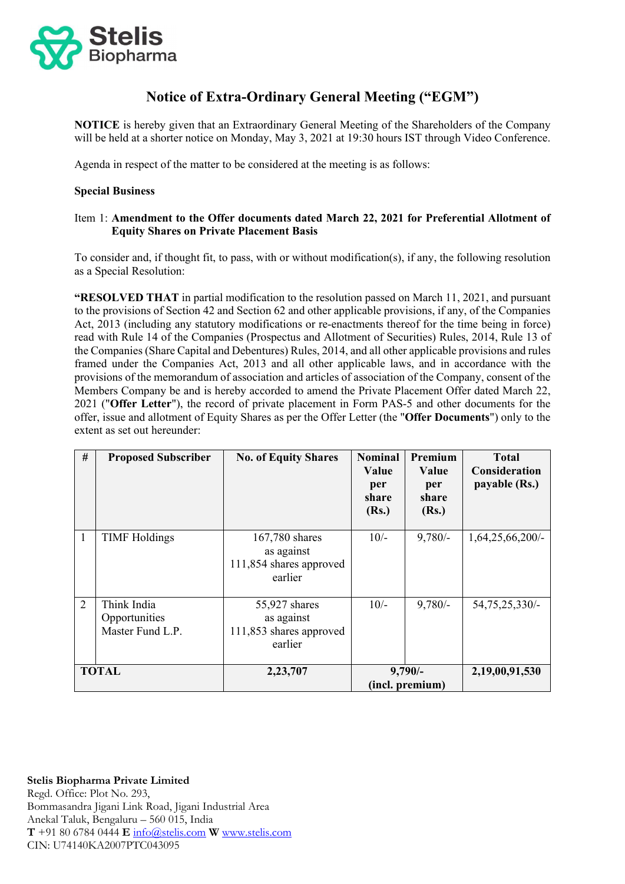

# **Notice of Extra-Ordinary General Meeting ("EGM")**

**NOTICE** is hereby given that an Extraordinary General Meeting of the Shareholders of the Company will be held at a shorter notice on Monday, May 3, 2021 at 19:30 hours IST through Video Conference.

Agenda in respect of the matter to be considered at the meeting is as follows:

### **Special Business**

### Item 1: **Amendment to the Offer documents dated March 22, 2021 for Preferential Allotment of Equity Shares on Private Placement Basis**

To consider and, if thought fit, to pass, with or without modification(s), if any, the following resolution as a Special Resolution:

**"RESOLVED THAT** in partial modification to the resolution passed on March 11, 2021, and pursuant to the provisions of Section 42 and Section 62 and other applicable provisions, if any, of the Companies Act, 2013 (including any statutory modifications or re-enactments thereof for the time being in force) read with Rule 14 of the Companies (Prospectus and Allotment of Securities) Rules, 2014, Rule 13 of the Companies (Share Capital and Debentures) Rules, 2014, and all other applicable provisions and rules framed under the Companies Act, 2013 and all other applicable laws, and in accordance with the provisions of the memorandum of association and articles of association of the Company, consent of the Members Company be and is hereby accorded to amend the Private Placement Offer dated March 22, 2021 ("**Offer Letter**"), the record of private placement in Form PAS-5 and other documents for the offer, issue and allotment of Equity Shares as per the Offer Letter (the "**Offer Documents**") only to the extent as set out hereunder:

| #            | <b>Proposed Subscriber</b>                       | <b>No. of Equity Shares</b>                                        | <b>Nominal</b><br><b>Value</b><br>per<br>share<br>(Rs.) | Premium<br>Value<br>per<br>share<br>(Rs.) | <b>Total</b><br><b>Consideration</b><br>payable (Rs.) |
|--------------|--------------------------------------------------|--------------------------------------------------------------------|---------------------------------------------------------|-------------------------------------------|-------------------------------------------------------|
| 1            | <b>TIMF</b> Holdings                             | 167,780 shares<br>as against<br>111,854 shares approved<br>earlier | $10/-$                                                  | $9,780/-$                                 | 1,64,25,66,200/                                       |
| 2            | Think India<br>Opportunities<br>Master Fund L.P. | 55,927 shares<br>as against<br>111,853 shares approved<br>earlier  | $10/-$                                                  | $9,780/-$                                 | 54, 75, 25, 330/-                                     |
| <b>TOTAL</b> |                                                  | 2,23,707                                                           | $9,790/-$<br>(incl. premium)                            |                                           | 2,19,00,91,530                                        |

# **Stelis Biopharma Private Limited**

Regd. Office: Plot No. 293, Bommasandra Jigani Link Road, Jigani Industrial Area Anekal Taluk, Bengaluru – 560 015, India **T** +91 80 6784 0444 **E** [info@stelis.com](mailto:info@stelis.com) **W** [www.stelis.com](http://www.stelis.com/) CIN: U74140KA2007PTC043095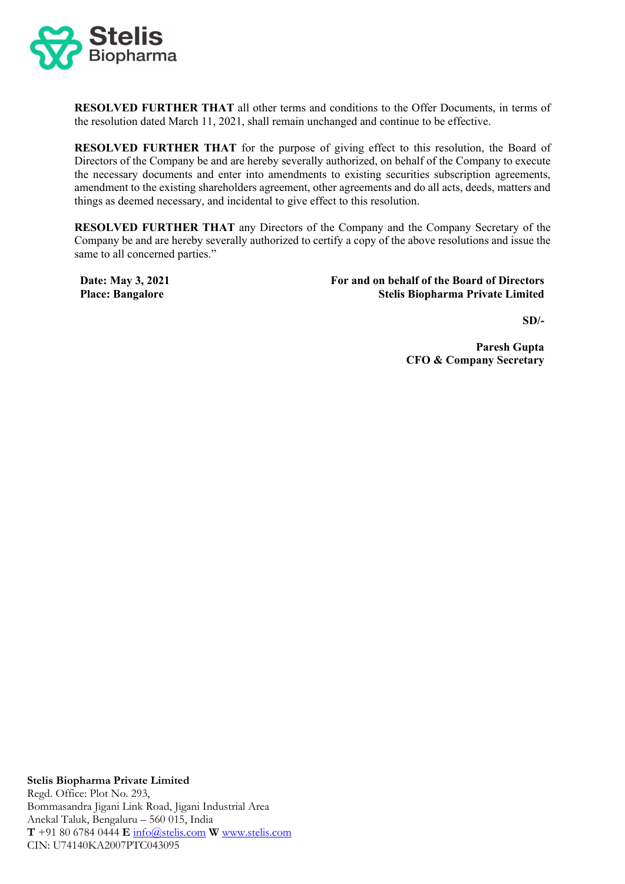

**RESOLVED FURTHER THAT** all other terms and conditions to the Offer Documents, in terms of the resolution dated March 11, 2021, shall remain unchanged and continue to be effective.

**RESOLVED FURTHER THAT** for the purpose of giving effect to this resolution, the Board of Directors of the Company be and are hereby severally authorized, on behalf of the Company to execute the necessary documents and enter into amendments to existing securities subscription agreements, amendment to the existing shareholders agreement, other agreements and do all acts, deeds, matters and things as deemed necessary, and incidental to give effect to this resolution.

**RESOLVED FURTHER THAT** any Directors of the Company and the Company Secretary of the Company be and are hereby severally authorized to certify a copy of the above resolutions and issue the same to all concerned parties."

**Date: May 3, 2021 Place: Bangalore**

**For and on behalf of the Board of Directors Stelis Biopharma Private Limited** 

**SD/-**

**Paresh Gupta CFO & Company Secretary**

**Stelis Biopharma Private Limited** Regd. Office: Plot No. 293, Bommasandra Jigani Link Road, Jigani Industrial Area Anekal Taluk, Bengaluru – 560 015, India **T** +91 80 6784 0444 **E** [info@stelis.com](mailto:info@stelis.com) **W** [www.stelis.com](http://www.stelis.com/) CIN: U74140KA2007PTC043095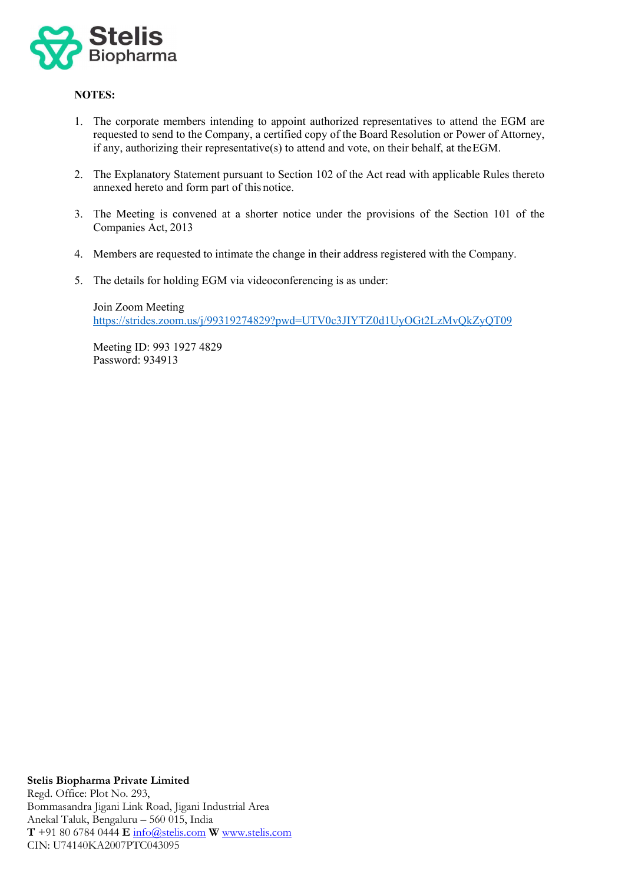

## **NOTES:**

- 1. The corporate members intending to appoint authorized representatives to attend the EGM are requested to send to the Company, a certified copy of the Board Resolution or Power of Attorney, if any, authorizing their representative(s) to attend and vote, on their behalf, at theEGM.
- 2. The Explanatory Statement pursuant to Section 102 of the Act read with applicable Rules thereto annexed hereto and form part of this notice.
- 3. The Meeting is convened at a shorter notice under the provisions of the Section 101 of the Companies Act, 2013
- 4. Members are requested to intimate the change in their address registered with the Company.
- 5. The details for holding EGM via videoconferencing is as under:

Join Zoom Meeting [https://strides.zoom.us/j/99319274829?pwd=UTV0c3JIYTZ0d1UyOGt2LzMvQkZyQT09](https://apc01.safelinks.protection.outlook.com/?url=https%3A%2F%2Fstrides.zoom.us%2Fj%2F99319274829%3Fpwd%3DUTV0c3JIYTZ0d1UyOGt2LzMvQkZyQT09&data=04%7C01%7CManjula.R%40strides.com%7C05975ca888a847186bbc08d90d53e0d1%7C9c70483a4e144e1e862a5fda2a0a5d77%7C0%7C0%7C637555476177785813%7CUnknown%7CTWFpbGZsb3d8eyJWIjoiMC4wLjAwMDAiLCJQIjoiV2luMzIiLCJBTiI6Ik1haWwiLCJXVCI6Mn0%3D%7C1000&sdata=XmreASg73WqSZgBDI4%2FbCKsaMDVpsDnWtP8UYy2T0Ec%3D&reserved=0)

Meeting ID: 993 1927 4829 Password: 934913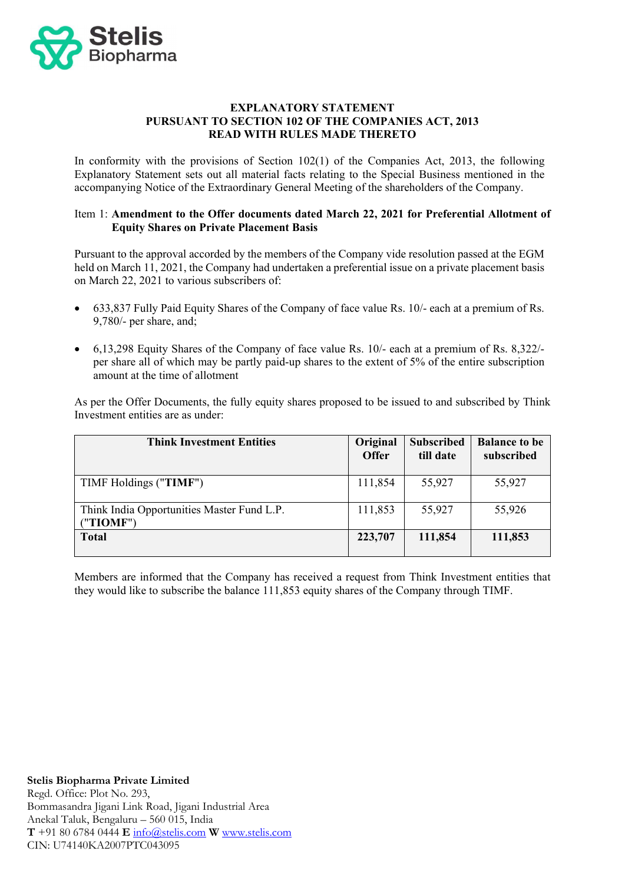

### **EXPLANATORY STATEMENT PURSUANT TO SECTION 102 OF THE COMPANIES ACT, 2013 READ WITH RULES MADE THERETO**

In conformity with the provisions of Section 102(1) of the Companies Act, 2013, the following Explanatory Statement sets out all material facts relating to the Special Business mentioned in the accompanying Notice of the Extraordinary General Meeting of the shareholders of the Company.

## Item 1: **Amendment to the Offer documents dated March 22, 2021 for Preferential Allotment of Equity Shares on Private Placement Basis**

Pursuant to the approval accorded by the members of the Company vide resolution passed at the EGM held on March 11, 2021, the Company had undertaken a preferential issue on a private placement basis on March 22, 2021 to various subscribers of:

- 633,837 Fully Paid Equity Shares of the Company of face value Rs. 10/- each at a premium of Rs. 9,780/- per share, and;
- 6,13,298 Equity Shares of the Company of face value Rs. 10/- each at a premium of Rs. 8,322/ per share all of which may be partly paid-up shares to the extent of 5% of the entire subscription amount at the time of allotment

As per the Offer Documents, the fully equity shares proposed to be issued to and subscribed by Think Investment entities are as under:

| <b>Think Investment Entities</b>                        | Original<br><b>Offer</b> | <b>Subscribed</b><br>till date | <b>Balance to be</b><br>subscribed |
|---------------------------------------------------------|--------------------------|--------------------------------|------------------------------------|
| TIMF Holdings ("TIMF")                                  | 111,854                  | 55,927                         | 55,927                             |
| Think India Opportunities Master Fund L.P.<br>("TIOMF") | 111,853                  | 55,927                         | 55,926                             |
| <b>Total</b>                                            | 223,707                  | 111,854                        | 111,853                            |

Members are informed that the Company has received a request from Think Investment entities that they would like to subscribe the balance 111,853 equity shares of the Company through TIMF.